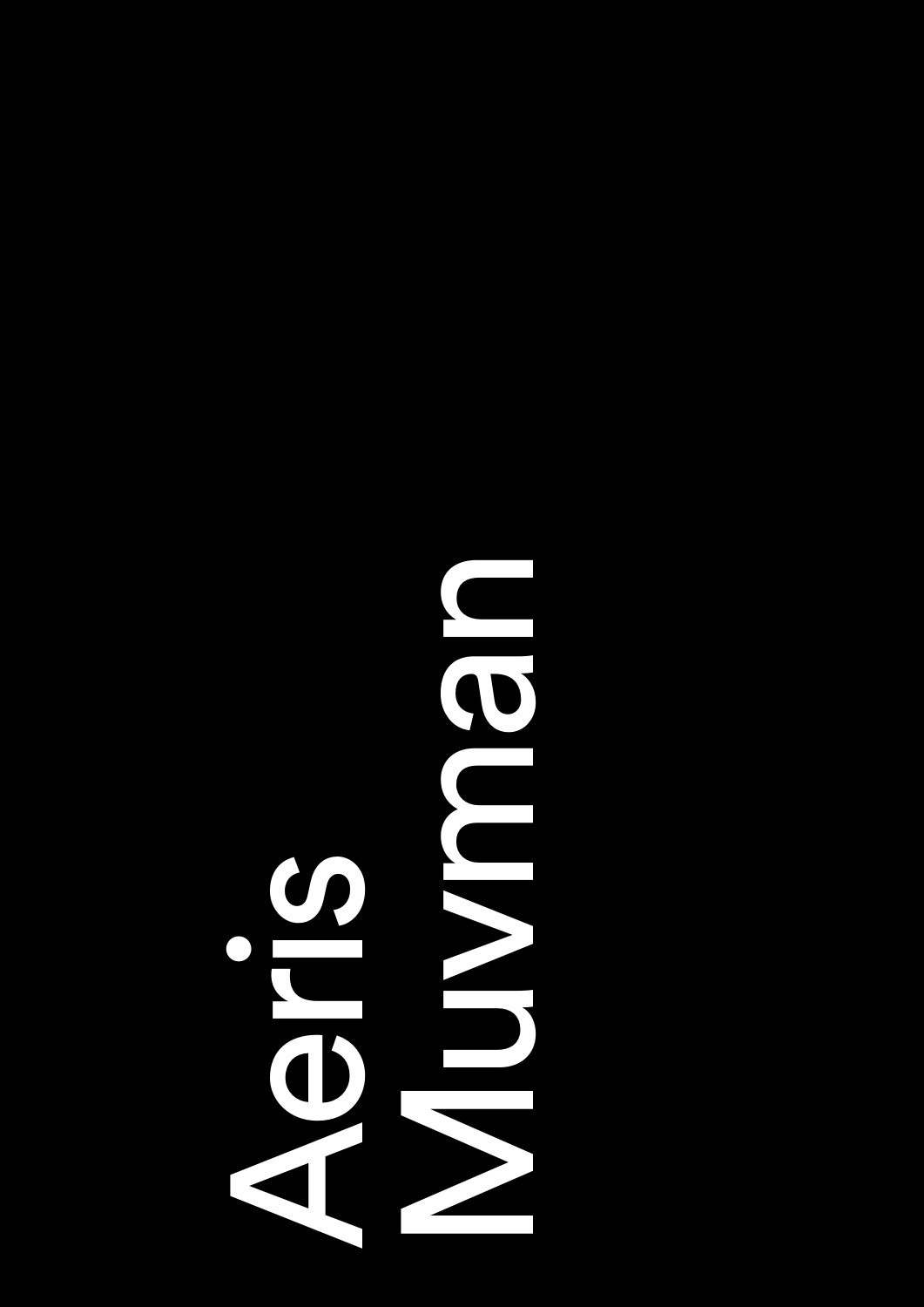# MuvmanD CO<br>Aeris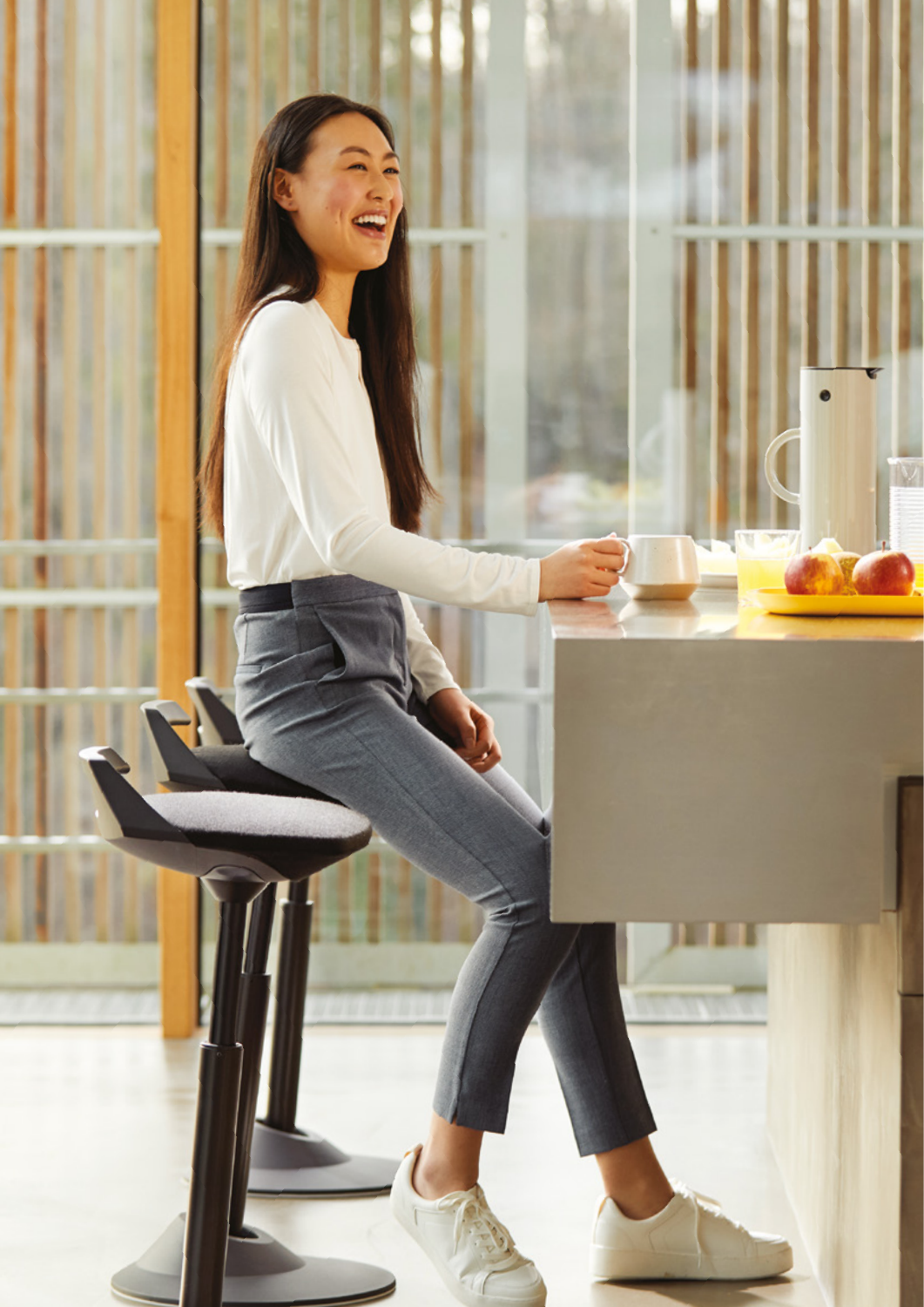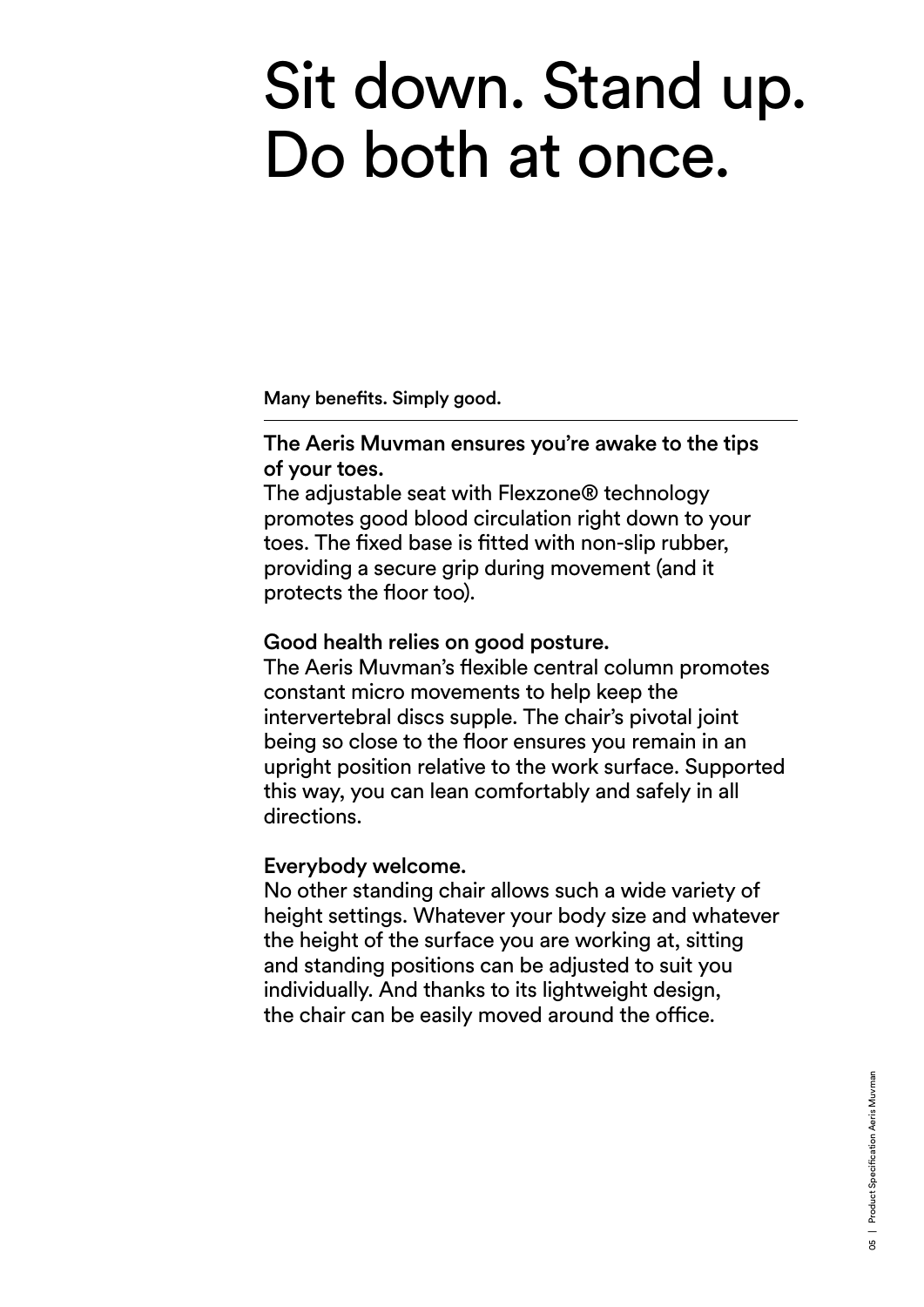## Sit down. Stand up. Do both at once.

Many benefits. Simply good.

#### The Aeris Muvman ensures you're awake to the tips of your toes.

The adjustable seat with Flexzone® technology promotes good blood circulation right down to your toes. The fixed base is fitted with non-slip rubber, providing a secure grip during movement (and it protects the floor too).

#### Good health relies on good posture.

The Aeris Muvman's flexible central column promotes constant micro movements to help keep the intervertebral discs supple. The chair's pivotal joint being so close to the floor ensures you remain in an upright position relative to the work surface. Supported this way, you can lean comfortably and safely in all directions.

#### Everybody welcome.

No other standing chair allows such a wide variety of height settings. Whatever your body size and whatever the height of the surface you are working at, sitting and standing positions can be adjusted to suit you individually. And thanks to its lightweight design, the chair can be easily moved around the office.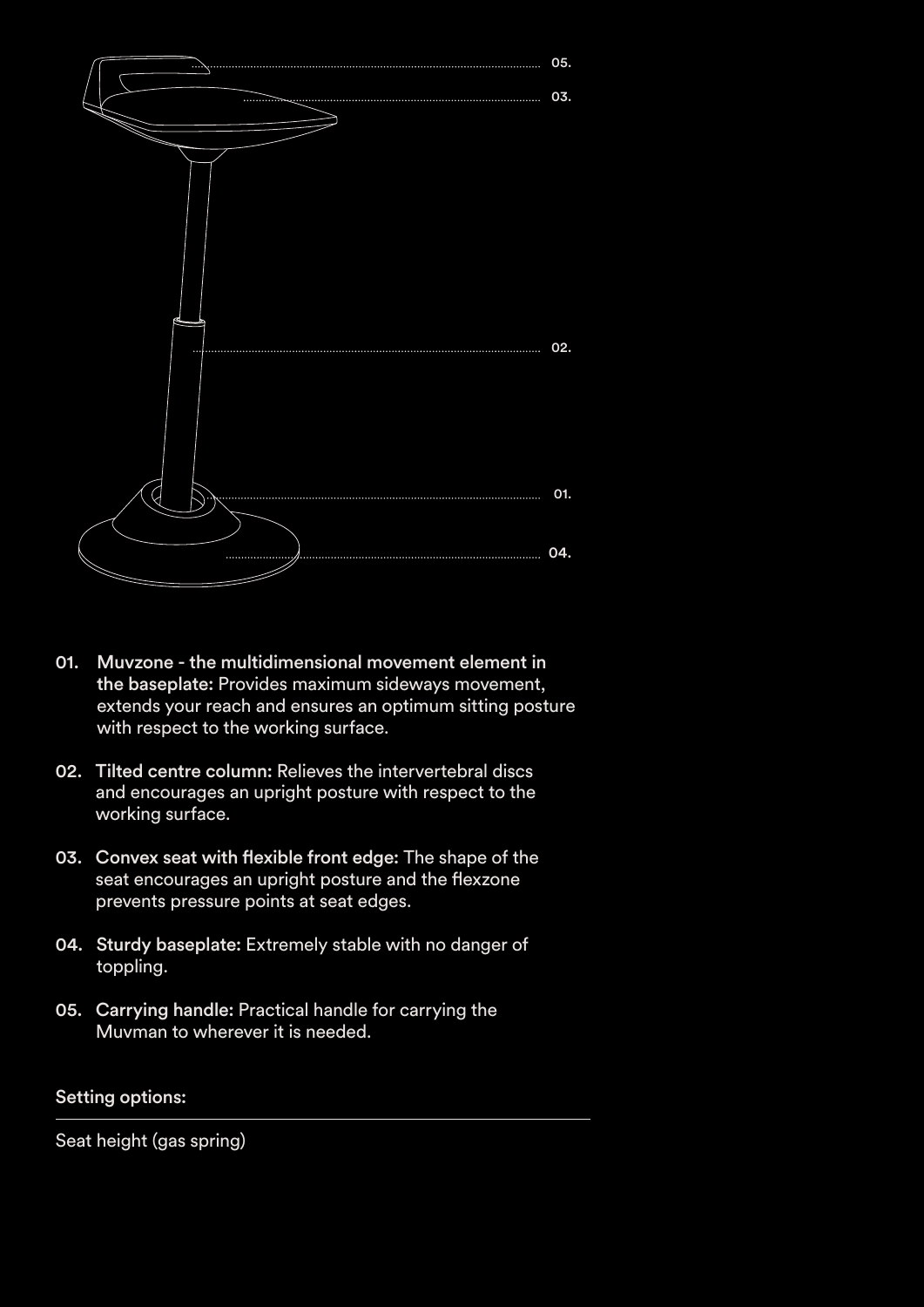

- 01. Muvzone the multidimensional movement element in the baseplate: Provides maximum sideways movement, extends your reach and ensures an optimum sitting posture with respect to the working surface.
- 02. Tilted centre column: Relieves the intervertebral discs and encourages an upright posture with respect to the working surface.
- 03. Convex seat with flexible front edge: The shape of the seat encourages an upright posture and the flexzone prevents pressure points at seat edges.
- 04. Sturdy baseplate: Extremely stable with no danger of toppling.
- 05. Carrying handle: Practical handle for carrying the Muvman to wherever it is needed.

#### Setting options:

Seat height (gas spring)